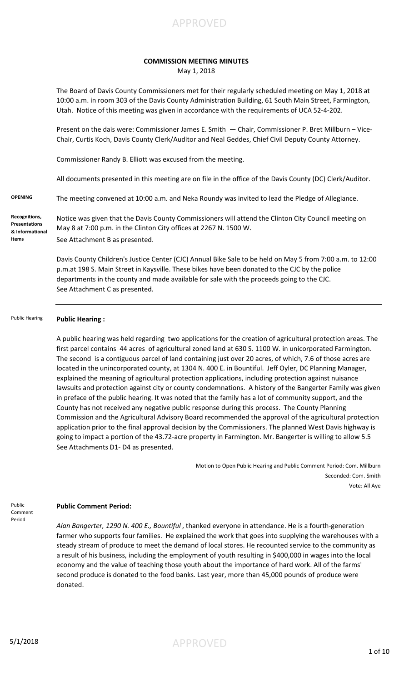

## **COMMISSION MEETING MINUTES**

May 1, 2018

The Board of Davis County Commissioners met for their regularly scheduled meeting on May 1, 2018 at 10:00 a.m. in room 303 of the Davis County Administration Building, 61 South Main Street, Farmington, Utah. Notice of this meeting was given in accordance with the requirements of UCA 52-4-202.

Present on the dais were: Commissioner James E. Smith — Chair, Commissioner P. Bret Millburn – Vice-Chair, Curtis Koch, Davis County Clerk/Auditor and Neal Geddes, Chief Civil Deputy County Attorney.

Commissioner Randy B. Elliott was excused from the meeting.

All documents presented in this meeting are on file in the office of the Davis County (DC) Clerk/Auditor.

**OPENING** The meeting convened at 10:00 a.m. and Neka Roundy was invited to lead the Pledge of Allegiance.

**Recognitions, Presentations & Informational Items**

Notice was given that the Davis County Commissioners will attend the Clinton City Council meeting on May 8 at 7:00 p.m. in the Clinton City offices at 2267 N. 1500 W. See Attachment B as presented.

Davis County Children's Justice Center (CJC) Annual Bike Sale to be held on May 5 from 7:00 a.m. to 12:00 p.m.at 198 S. Main Street in Kaysville. These bikes have been donated to the CJC by the police departments in the county and made available for sale with the proceeds going to the CJC. See Attachment C as presented.

**Public Hearing :**  Public Hearing

> A public hearing was held regarding two applications for the creation of agricultural protection areas. The first parcel contains 44 acres of agricultural zoned land at 630 S. 1100 W. in unicorporated Farmington. The second is a contiguous parcel of land containing just over 20 acres, of which, 7.6 of those acres are located in the unincorporated county, at 1304 N. 400 E. in Bountiful. Jeff Oyler, DC Planning Manager, explained the meaning of agricultural protection applications, including protection against nuisance lawsuits and protection against city or county condemnations. A history of the Bangerter Family was given in preface of the public hearing. It was noted that the family has a lot of community support, and the County has not received any negative public response during this process. The County Planning Commission and the Agricultural Advisory Board recommended the approval of the agricultural protection application prior to the final approval decision by the Commissioners. The planned West Davis highway is going to impact a portion of the 43.72-acre property in Farmington. Mr. Bangerter is willing to allow 5.5 See Attachments D1- D4 as presented.

> > Motion to Open Public Hearing and Public Comment Period: Com. Millburn Seconded: Com. Smith Vote: All Aye

Public Comment Period

## **Public Comment Period:**

*Alan Bangerter, 1290 N. 400 E., Bountiful* , thanked everyone in attendance. He is a fourth-generation farmer who supports four families. He explained the work that goes into supplying the warehouses with a steady stream of produce to meet the demand of local stores. He recounted service to the community as a result of his business, including the employment of youth resulting in \$400,000 in wages into the local economy and the value of teaching those youth about the importance of hard work. All of the farms' second produce is donated to the food banks. Last year, more than 45,000 pounds of produce were donated.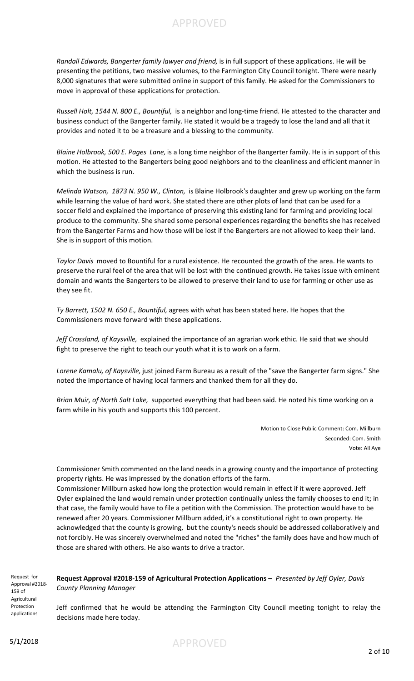*Randall Edwards, Bangerter family lawyer and friend,* is in full support of these applications. He will be presenting the petitions, two massive volumes, to the Farmington City Council tonight. There were nearly 8,000 signatures that were submitted online in support of this family. He asked for the Commissioners to move in approval of these applications for protection.

APPROVED

*Russell Holt, 1544 N. 800 E., Bountiful,* is a neighbor and long-time friend. He attested to the character and business conduct of the Bangerter family. He stated it would be a tragedy to lose the land and all that it provides and noted it to be a treasure and a blessing to the community.

*Blaine Holbrook, 500 E. Pages Lane,* is a long time neighbor of the Bangerter family. He is in support of this motion. He attested to the Bangerters being good neighbors and to the cleanliness and efficient manner in which the business is run.

*Melinda Watson, 1873 N. 950 W., Clinton,* is Blaine Holbrook's daughter and grew up working on the farm while learning the value of hard work. She stated there are other plots of land that can be used for a soccer field and explained the importance of preserving this existing land for farming and providing local produce to the community. She shared some personal experiences regarding the benefits she has received from the Bangerter Farms and how those will be lost if the Bangerters are not allowed to keep their land. She is in support of this motion.

*Taylor Davis* moved to Bountiful for a rural existence. He recounted the growth of the area. He wants to preserve the rural feel of the area that will be lost with the continued growth. He takes issue with eminent domain and wants the Bangerters to be allowed to preserve their land to use for farming or other use as they see fit.

*Ty Barrett, 1502 N. 650 E., Bountiful,* agrees with what has been stated here. He hopes that the Commissioners move forward with these applications.

*Jeff Crossland, of Kaysville,* explained the importance of an agrarian work ethic. He said that we should fight to preserve the right to teach our youth what it is to work on a farm.

*Lorene Kamalu, of Kaysville,* just joined Farm Bureau as a result of the "save the Bangerter farm signs." She noted the importance of having local farmers and thanked them for all they do.

*Brian Muir, of North Salt Lake,* supported everything that had been said. He noted his time working on a farm while in his youth and supports this 100 percent.

> Motion to Close Public Comment: Com. Millburn Seconded: Com. Smith Vote: All Aye

Commissioner Smith commented on the land needs in a growing county and the importance of protecting property rights. He was impressed by the donation efforts of the farm.

Commissioner Millburn asked how long the protection would remain in effect if it were approved. Jeff Oyler explained the land would remain under protection continually unless the family chooses to end it; in that case, the family would have to file a petition with the Commission. The protection would have to be renewed after 20 years. Commissioner Millburn added, it's a constitutional right to own property. He acknowledged that the county is growing, but the county's needs should be addressed collaboratively and not forcibly. He was sincerely overwhelmed and noted the "riches" the family does have and how much of those are shared with others. He also wants to drive a tractor.

Request for Approval #2018- 159 of Agricultural Protection applications

**Request Approval #2018-159 of Agricultural Protection Applications –** *Presented by Jeff Oyler, Davis County Planning Manager*

Jeff confirmed that he would be attending the Farmington City Council meeting tonight to relay the decisions made here today.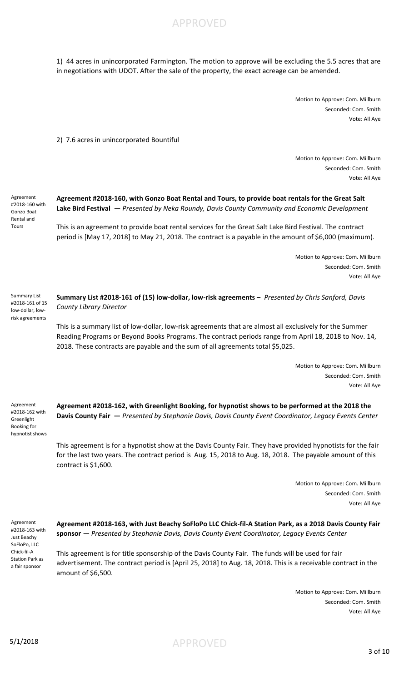1) 44 acres in unincorporated Farmington. The motion to approve will be excluding the 5.5 acres that are in negotiations with UDOT. After the sale of the property, the exact acreage can be amended.

APPROVED

Motion to Approve: Com. Millburn Seconded: Com. Smith Vote: All Aye

2) 7.6 acres in unincorporated Bountiful

Motion to Approve: Com. Millburn Seconded: Com. Smith Vote: All Aye

Agreement #2018-160 with Gonzo Boat Rental and Tours

**Agreement #2018-160, with Gonzo Boat Rental and Tours, to provide boat rentals for the Great Salt Lake Bird Festival** *— Presented by Neka Roundy, Davis County Community and Economic Development*

This is an agreement to provide boat rental services for the Great Salt Lake Bird Festival. The contract period is [May 17, 2018] to May 21, 2018. The contract is a payable in the amount of \$6,000 (maximum).

> Motion to Approve: Com. Millburn Seconded: Com. Smith Vote: All Aye

**Summary List #2018-161 of (15) low-dollar, low-risk agreements –** *Presented by Chris Sanford, Davis County Library Director* Summary List #2018-161 of 15 low-dollar, lowrisk agreements

> This is a summary list of low-dollar, low-risk agreements that are almost all exclusively for the Summer Reading Programs or Beyond Books Programs. The contract periods range from April 18, 2018 to Nov. 14, 2018. These contracts are payable and the sum of all agreements total \$5,025.

> > Motion to Approve: Com. Millburn Seconded: Com. Smith Vote: All Aye

Agreement #2018-162 with Greenlight Booking for hypnotist shows **Agreement #2018-162, with Greenlight Booking, for hypnotist shows to be performed at the 2018 the Davis County Fair —** *Presented by Stephanie Davis, Davis County Event Coordinator, Legacy Events Center*

This agreement is for a hypnotist show at the Davis County Fair. They have provided hypnotists for the fair for the last two years. The contract period is Aug. 15, 2018 to Aug. 18, 2018. The payable amount of this contract is \$1,600.

> Motion to Approve: Com. Millburn Seconded: Com. Smith Vote: All Aye

Agreement #2018-163 with Just Beachy SoFloPo, LLC Chick-fil-A Station Park as a fair sponsor

**Agreement #2018-163, with Just Beachy SoFloPo LLC Chick-fil-A Station Park, as a 2018 Davis County Fair sponsor** *— Presented by Stephanie Davis, Davis County Event Coordinator, Legacy Events Center*

This agreement is for title sponsorship of the Davis County Fair. The funds will be used for fair advertisement. The contract period is [April 25, 2018] to Aug. 18, 2018. This is a receivable contract in the amount of \$6,500.

> Motion to Approve: Com. Millburn Seconded: Com. Smith Vote: All Aye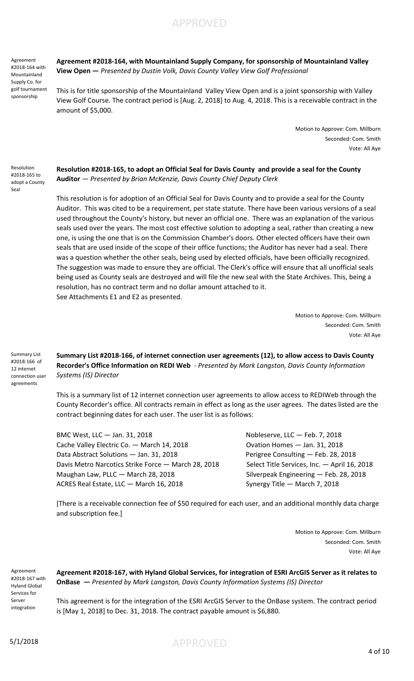Agreement #2018-164 with Mountainland Supply Co. for golf tournament sponsorship

Resolution #2018-165 to adopt a County Seal

**Agreement #2018-164, with Mountainland Supply Company, for sponsorship of Mountainland Valley View Open —** *Presented by Dustin Volk, Davis County Valley View Golf Professional*

APPROVED

This is for title sponsorship of the Mountainland Valley View Open and is a joint sponsorship with Valley View Golf Course. The contract period is [Aug. 2, 2018] to Aug. 4, 2018. This is a receivable contract in the amount of \$5,000.

> Motion to Approve: Com. Millburn Seconded: Com. Smith Vote: All Aye

**Resolution #2018-165, to adopt an Official Seal for Davis County and provide a seal for the County Auditor** *— Presented by Brian McKenzie, Davis County Chief Deputy Clerk*

This resolution is for adoption of an Official Seal for Davis County and to provide a seal for the County Auditor. This was cited to be a requirement, per state statute. There have been various versions of a seal used throughout the County's history, but never an official one. There was an explanation of the various seals used over the years. The most cost effective solution to adopting a seal, rather than creating a new one, is using the one that is on the Commission Chamber's doors. Other elected officers have their own seals that are used inside of the scope of their office functions; the Auditor has never had a seal. There was a question whether the other seals, being used by elected officials, have been officially recognized. The suggestion was made to ensure they are official. The Clerk's office will ensure that all unofficial seals being used as County seals are destroyed and will file the new seal with the State Archives. This, being a resolution, has no contract term and no dollar amount attached to it. See Attachments E1 and E2 as presented.

> Motion to Approve: Com. Millburn Seconded: Com. Smith Vote: All Aye

Summary List #2018-166 of 12 internet connection user agreements

**Summary List #2018-166, of internet connection user agreements (12), to allow access to Davis County Recorder's Office Information on REDI Web** *- Presented by Mark Langston, Davis County Information Systems (IS) Director*

This is a summary list of 12 internet connection user agreements to allow access to REDIWeb through the County Recorder's office. All contracts remain in effect as long as the user agrees. The dates listed are the contract beginning dates for each user. The user list is as follows:

BMC West, LLC — Jan. 31, 2018 Nobleserve, LLC — Feb. 7, 2018 Cache Valley Electric Co. - March 14, 2018 Cost Courtion Homes - Jan. 31, 2018 Data Abstract Solutions - Jan. 31, 2018 **Perigree Consulting - Feb. 28, 2018** Davis Metro Narcotics Strike Force - March 28, 2018 Select Title Services, Inc. - April 16, 2018 Maughan Law, PLLC — March 28, 2018 Silverpeak Engineering — Feb. 28, 2018 ACRES Real Estate, LLC - March 16, 2018 Synergy Title - March 7, 2018

[There is a receivable connection fee of \$50 required for each user, and an additional monthly data charge and subscription fee.]

> Motion to Approve: Com. Millburn Seconded: Com. Smith Vote: All Aye

Agreement #2018-167 with Hyland Global Services for Server integration

**Agreement #2018-167, with Hyland Global Services, for integration of ESRI ArcGIS Server as it relates to OnBase —** *Presented by Mark Langston, Davis County Information Systems (IS) Director*

This agreement is for the integration of the ESRI ArcGIS Server to the OnBase system. The contract period is [May 1, 2018] to Dec. 31, 2018. The contract payable amount is \$6,880.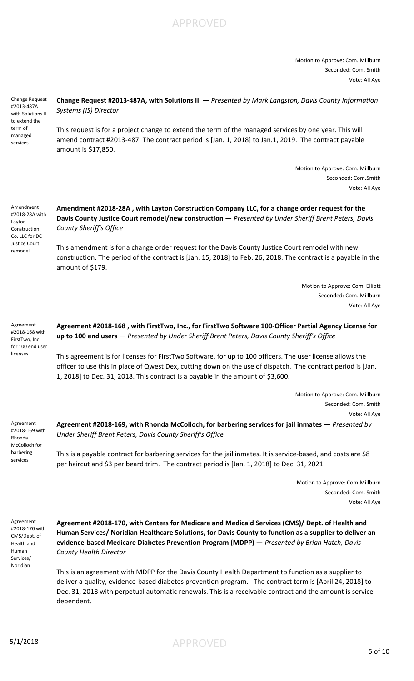

Motion to Approve: Com. Millburn Seconded: Com. Smith Vote: All Aye

Change Request #2013-487A with Solutions II to extend the term of managed services

**Change Request #2013-487A, with Solutions II —** *Presented by Mark Langston, Davis County Information Systems (IS) Director*

This request is for a project change to extend the term of the managed services by one year. This will amend contract #2013-487. The contract period is [Jan. 1, 2018] to Jan.1, 2019. The contract payable amount is \$17,850.

> Motion to Approve: Com. Millburn Seconded: Com.Smith Vote: All Aye

Amendment #2018-28A with Layton Construction Co. LLC for DC Justice Court remodel

**Amendment #2018-28A , with Layton Construction Company LLC, for a change order request for the Davis County Justice Court remodel/new construction —** *Presented by Under Sheriff Brent Peters, Davis County Sheriff's Office*

This amendment is for a change order request for the Davis County Justice Court remodel with new construction. The period of the contract is [Jan. 15, 2018] to Feb. 26, 2018. The contract is a payable in the amount of \$179.

> Motion to Approve: Com. Elliott Seconded: Com. Millburn Vote: All Aye

Agreement #2018-168 with FirstTwo, Inc. for 100 end user licenses

**Agreement #2018-168 , with FirstTwo, Inc., for FirstTwo Software 100-Officer Partial Agency License for up to 100 end users** — *Presented by Under Sheriff Brent Peters, Davis County Sheriff's Office*

This agreement is for licenses for FirstTwo Software, for up to 100 officers. The user license allows the officer to use this in place of Qwest Dex, cutting down on the use of dispatch. The contract period is [Jan. 1, 2018] to Dec. 31, 2018. This contract is a payable in the amount of \$3,600.

> Motion to Approve: Com. Millburn Seconded: Com. Smith Vote: All Aye

Agreement #2018-169 with Rhonda McColloch for barbering services

**Agreement #2018-169, with Rhonda McColloch, for barbering services for jail inmates —** *Presented by Under Sheriff Brent Peters, Davis County Sheriff's Office*

This is a payable contract for barbering services for the jail inmates. It is service-based, and costs are \$8 per haircut and \$3 per beard trim. The contract period is [Jan. 1, 2018] to Dec. 31, 2021.

> Motion to Approve: Com.Millburn Seconded: Com. Smith Vote: All Aye

Agreement #2018-170 with CMS/Dept. of Health and Human Services/ Noridian

**Agreement #2018-170, with Centers for Medicare and Medicaid Services (CMS)/ Dept. of Health and Human Services/ Noridian Healthcare Solutions, for Davis County to function as a supplier to deliver an evidence-based Medicare Diabetes Prevention Program (MDPP) —** *Presented by Brian Hatch, Davis County Health Director*

This is an agreement with MDPP for the Davis County Health Department to function as a supplier to deliver a quality, evidence-based diabetes prevention program. The contract term is [April 24, 2018] to Dec. 31, 2018 with perpetual automatic renewals. This is a receivable contract and the amount is service dependent.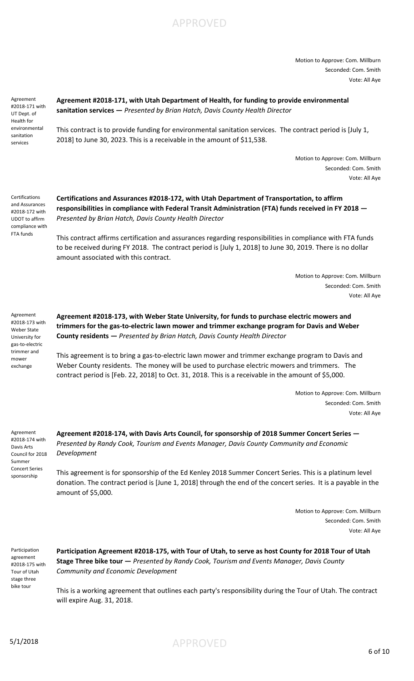

Motion to Approve: Com. Millburn Seconded: Com. Smith Vote: All Aye

Agreement #2018-171 with UT Dept. of Health for environmental sanitation services

**Agreement #2018-171, with Utah Department of Health, for funding to provide environmental sanitation services —** *Presented by Brian Hatch, Davis County Health Director*

This contract is to provide funding for environmental sanitation services. The contract period is [July 1, 2018] to June 30, 2023. This is a receivable in the amount of \$11,538.

> Motion to Approve: Com. Millburn Seconded: Com. Smith Vote: All Aye

Certifications and Assurances #2018-172 with UDOT to affirm compliance with FTA funds

**Certifications and Assurances #2018-172, with Utah Department of Transportation, to affirm responsibilities in compliance with Federal Transit Administration (FTA) funds received in FY 2018 —**  *Presented by Brian Hatch, Davis County Health Director*

This contract affirms certification and assurances regarding responsibilities in compliance with FTA funds to be received during FY 2018. The contract period is [July 1, 2018] to June 30, 2019. There is no dollar amount associated with this contract.

> Motion to Approve: Com. Millburn Seconded: Com. Smith Vote: All Aye

Agreement #2018-173 with Weber State University for gas-to-electric trimmer and mower exchange

**Agreement #2018-173, with Weber State University, for funds to purchase electric mowers and trimmers for the gas-to-electric lawn mower and trimmer exchange program for Davis and Weber County residents —** *Presented by Brian Hatch, Davis County Health Director*

This agreement is to bring a gas-to-electric lawn mower and trimmer exchange program to Davis and Weber County residents. The money will be used to purchase electric mowers and trimmers. The contract period is [Feb. 22, 2018] to Oct. 31, 2018. This is a receivable in the amount of \$5,000.

> Motion to Approve: Com. Millburn Seconded: Com. Smith Vote: All Aye

Agreement #2018-174 with Davis Arts Council for 2018 Summer Concert Series sponsorship

**Agreement #2018-174, with Davis Arts Council, for sponsorship of 2018 Summer Concert Series —**  *Presented by Randy Cook, Tourism and Events Manager, Davis County Community and Economic Development*

This agreement is for sponsorship of the Ed Kenley 2018 Summer Concert Series. This is a platinum level donation. The contract period is [June 1, 2018] through the end of the concert series. It is a payable in the amount of \$5,000.

> Motion to Approve: Com. Millburn Seconded: Com. Smith Vote: All Aye

Participation agreement #2018-175 with Tour of Utah stage three bike tour

**Participation Agreement #2018-175, with Tour of Utah, to serve as host County for 2018 Tour of Utah Stage Three bike tour —** *Presented by Randy Cook, Tourism and Events Manager, Davis County Community and Economic Development* 

This is a working agreement that outlines each party's responsibility during the Tour of Utah. The contract will expire Aug. 31, 2018.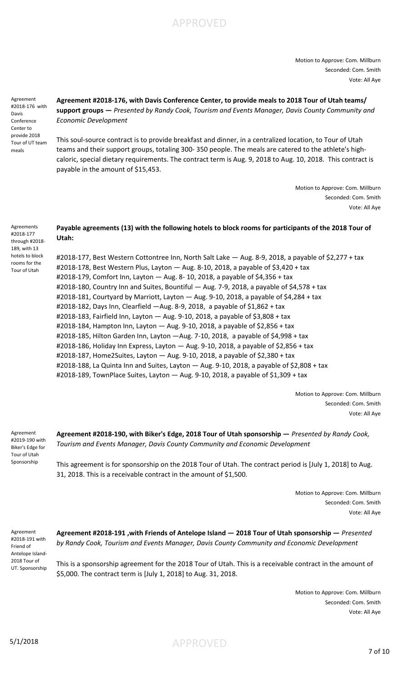

Motion to Approve: Com. Millburn Seconded: Com. Smith Vote: All Aye

Agreement #2018-176 with Davis Conference Center to provide 2018 Tour of UT team meals

**Agreement #2018-176, with Davis Conference Center, to provide meals to 2018 Tour of Utah teams/ support groups —** *Presented by Randy Cook, Tourism and Events Manager, Davis County Community and Economic Development* 

This soul-source contract is to provide breakfast and dinner, in a centralized location, to Tour of Utah teams and their support groups, totaling 300- 350 people. The meals are catered to the athlete's highcaloric, special dietary requirements. The contract term is Aug. 9, 2018 to Aug. 10, 2018. This contract is payable in the amount of \$15,453.

> Motion to Approve: Com. Millburn Seconded: Com. Smith Vote: All Aye

**Payable agreements (13) with the following hotels to block rooms for participants of the 2018 Tour of Utah:** through #2018-

> #2018-177, Best Western Cottontree Inn, North Salt Lake — Aug. 8-9, 2018, a payable of \$2,277 + tax #2018-178, Best Western Plus, Layton — Aug. 8-10, 2018, a payable of \$3,420 + tax #2018-179, Comfort Inn, Layton — Aug. 8- 10, 2018, a payable of \$4,356 + tax #2018-180, Country Inn and Suites, Bountiful — Aug. 7-9, 2018, a payable of \$4,578 + tax #2018-181, Courtyard by Marriott, Layton — Aug. 9-10, 2018, a payable of \$4,284 + tax #2018-182, Days Inn, Clearfield —Aug. 8-9, 2018, a payable of \$1,862 + tax #2018-183, Fairfield Inn, Layton — Aug. 9-10, 2018, a payable of \$3,808 + tax #2018-184, Hampton Inn, Layton — Aug. 9-10, 2018, a payable of \$2,856 + tax #2018-185, Hilton Garden Inn, Layton —Aug. 7-10, 2018, a payable of \$4,998 + tax #2018-186, Holiday Inn Express, Layton — Aug. 9-10, 2018, a payable of \$2,856 + tax #2018-187, Home2Suites, Layton — Aug. 9-10, 2018, a payable of \$2,380 + tax #2018-188, La Quinta Inn and Suites, Layton — Aug. 9-10, 2018, a payable of \$2,808 + tax #2018-189, TownPlace Suites, Layton — Aug. 9-10, 2018, a payable of \$1,309 + tax

> > Motion to Approve: Com. Millburn Seconded: Com. Smith Vote: All Aye

Agreement #2019-190 with Biker's Edge for Tour of Utah Sponsorship

**Agreement #2018-190, with Biker's Edge, 2018 Tour of Utah sponsorship —** *Presented by Randy Cook, Tourism and Events Manager, Davis County Community and Economic Development* 

This agreement is for sponsorship on the 2018 Tour of Utah. The contract period is [July 1, 2018] to Aug. 31, 2018. This is a receivable contract in the amount of \$1,500.

> Motion to Approve: Com. Millburn Seconded: Com. Smith Vote: All Aye

Agreement #2018-191 with Friend of Antelope Island-2018 Tour of UT. Sponsorship **Agreement #2018-191 ,with Friends of Antelope Island — 2018 Tour of Utah sponsorship —** *Presented by Randy Cook, Tourism and Events Manager, Davis County Community and Economic Development* 

This is a sponsorship agreement for the 2018 Tour of Utah. This is a receivable contract in the amount of \$5,000. The contract term is [July 1, 2018] to Aug. 31, 2018.

> Motion to Approve: Com. Millburn Seconded: Com. Smith Vote: All Aye

Agreements #2018-177

189, with 13 hotels to block rooms for the Tour of Utah

5/1/2018 APPROVED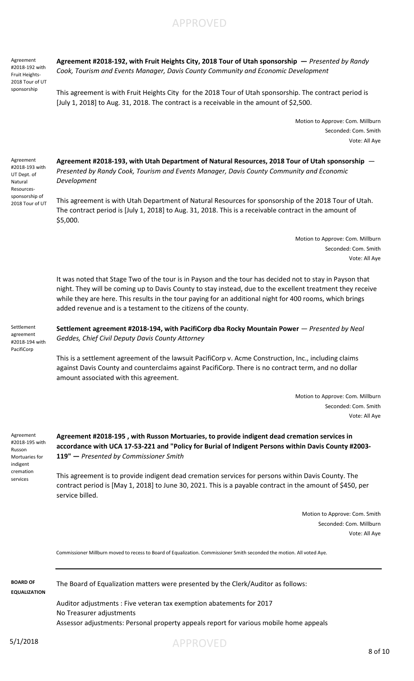APPROVED

Agreement #2018-192 with Fruit Heights-2018 Tour of UT sponsorship

**Agreement #2018-192, with Fruit Heights City, 2018 Tour of Utah sponsorship —** *Presented by Randy Cook, Tourism and Events Manager, Davis County Community and Economic Development* 

This agreement is with Fruit Heights City for the 2018 Tour of Utah sponsorship. The contract period is [July 1, 2018] to Aug. 31, 2018. The contract is a receivable in the amount of \$2,500.

> Motion to Approve: Com. Millburn Seconded: Com. Smith Vote: All Aye

Agreement #2018-193 with UT Dept. of Natural Resourcessponsorship of 2018 Tour of UT

**Agreement #2018-193, with Utah Department of Natural Resources, 2018 Tour of Utah sponsorship** — *Presented by Randy Cook, Tourism and Events Manager, Davis County Community and Economic Development* 

This agreement is with Utah Department of Natural Resources for sponsorship of the 2018 Tour of Utah. The contract period is [July 1, 2018] to Aug. 31, 2018. This is a receivable contract in the amount of \$5,000.

> Motion to Approve: Com. Millburn Seconded: Com. Smith Vote: All Aye

It was noted that Stage Two of the tour is in Payson and the tour has decided not to stay in Payson that night. They will be coming up to Davis County to stay instead, due to the excellent treatment they receive while they are here. This results in the tour paying for an additional night for 400 rooms, which brings added revenue and is a testament to the citizens of the county.

Settlement agreement #2018-194 with PacifiCorp

Settlement agreement #2018-194, with PacifiCorp dba Rocky Mountain Power — Presented by Neal *Geddes, Chief Civil Deputy Davis County Attorney* 

This is a settlement agreement of the lawsuit PacifiCorp v. Acme Construction, Inc., including claims against Davis County and counterclaims against PacifiCorp. There is no contract term, and no dollar amount associated with this agreement.

> Motion to Approve: Com. Millburn Seconded: Com. Smith Vote: All Aye

Agreement #2018-195 with Russon Mortuaries for indigent cremation services

**Agreement #2018-195 , with Russon Mortuaries, to provide indigent dead cremation services in accordance with UCA 17-53-221 and "Policy for Burial of Indigent Persons within Davis County #2003- 119" —** *Presented by Commissioner Smith*

This agreement is to provide indigent dead cremation services for persons within Davis County. The contract period is [May 1, 2018] to June 30, 2021. This is a payable contract in the amount of \$450, per service billed.

> Motion to Approve: Com. Smith Seconded: Com. Millburn Vote: All Aye

Commissioner Millburn moved to recess to Board of Equalization. Commissioner Smith seconded the motion. All voted Aye.

**EQUALIZATION**

**BOARD OF** The Board of Equalization matters were presented by the Clerk/Auditor as follows:

Auditor adjustments : Five veteran tax exemption abatements for 2017 No Treasurer adjustments Assessor adjustments: Personal property appeals report for various mobile home appeals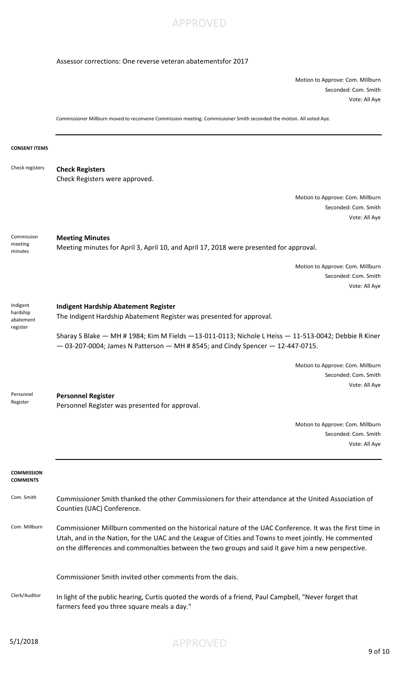

## Assessor corrections: One reverse veteran abatementsfor 2017

Motion to Approve: Com. Millburn Seconded: Com. Smith Vote: All Aye

Commissioner Millburn moved to reconvene Commission meeting. Commissioner Smith seconded the motion. All voted Aye.

## **CONSENT ITEMS**

| Check Registers were approved.<br>Motion to Approve: Com. Millburn<br>Seconded: Com. Smith<br>Vote: All Aye<br>Commission<br><b>Meeting Minutes</b><br>meeting<br>Meeting minutes for April 3, April 10, and April 17, 2018 were presented for approval.<br>minutes<br>Motion to Approve: Com. Millburn<br>Seconded: Com. Smith<br>Vote: All Aye<br>Indigent<br><b>Indigent Hardship Abatement Register</b><br>hardship<br>The Indigent Hardship Abatement Register was presented for approval.<br>abatement<br>register<br>Sharay S Blake - MH # 1984; Kim M Fields -13-011-0113; Nichole L Heiss - 11-513-0042; Debbie R Kiner<br>$-$ 03-207-0004; James N Patterson $-$ MH # 8545; and Cindy Spencer $-$ 12-447-0715.<br>Motion to Approve: Com. Millburn<br>Seconded: Com. Smith<br>Vote: All Aye<br>Personnel<br><b>Personnel Register</b><br>Register<br>Personnel Register was presented for approval.<br>Motion to Approve: Com. Millburn<br>Seconded: Com. Smith<br>Vote: All Aye<br><b>COMMISSION</b><br><b>COMMENTS</b><br>Com. Smith<br>Commissioner Smith thanked the other Commissioners for their attendance at the United Association of<br>Counties (UAC) Conference.<br>Com. Millburn<br>Commissioner Millburn commented on the historical nature of the UAC Conference. It was the first time in<br>Utah, and in the Nation, for the UAC and the League of Cities and Towns to meet jointly. He commented<br>on the differences and commonalties between the two groups and said it gave him a new perspective.<br>Commissioner Smith invited other comments from the dais.<br>Clerk/Auditor<br>In light of the public hearing, Curtis quoted the words of a friend, Paul Campbell, "Never forget that<br>farmers feed you three square meals a day." | Check registers | <b>Check Registers</b> |
|--------------------------------------------------------------------------------------------------------------------------------------------------------------------------------------------------------------------------------------------------------------------------------------------------------------------------------------------------------------------------------------------------------------------------------------------------------------------------------------------------------------------------------------------------------------------------------------------------------------------------------------------------------------------------------------------------------------------------------------------------------------------------------------------------------------------------------------------------------------------------------------------------------------------------------------------------------------------------------------------------------------------------------------------------------------------------------------------------------------------------------------------------------------------------------------------------------------------------------------------------------------------------------------------------------------------------------------------------------------------------------------------------------------------------------------------------------------------------------------------------------------------------------------------------------------------------------------------------------------------------------------------------------------------------------------------------------------------------------------------------------------------------|-----------------|------------------------|
|                                                                                                                                                                                                                                                                                                                                                                                                                                                                                                                                                                                                                                                                                                                                                                                                                                                                                                                                                                                                                                                                                                                                                                                                                                                                                                                                                                                                                                                                                                                                                                                                                                                                                                                                                                          |                 |                        |
|                                                                                                                                                                                                                                                                                                                                                                                                                                                                                                                                                                                                                                                                                                                                                                                                                                                                                                                                                                                                                                                                                                                                                                                                                                                                                                                                                                                                                                                                                                                                                                                                                                                                                                                                                                          |                 |                        |
|                                                                                                                                                                                                                                                                                                                                                                                                                                                                                                                                                                                                                                                                                                                                                                                                                                                                                                                                                                                                                                                                                                                                                                                                                                                                                                                                                                                                                                                                                                                                                                                                                                                                                                                                                                          |                 |                        |
|                                                                                                                                                                                                                                                                                                                                                                                                                                                                                                                                                                                                                                                                                                                                                                                                                                                                                                                                                                                                                                                                                                                                                                                                                                                                                                                                                                                                                                                                                                                                                                                                                                                                                                                                                                          |                 |                        |
|                                                                                                                                                                                                                                                                                                                                                                                                                                                                                                                                                                                                                                                                                                                                                                                                                                                                                                                                                                                                                                                                                                                                                                                                                                                                                                                                                                                                                                                                                                                                                                                                                                                                                                                                                                          |                 |                        |
|                                                                                                                                                                                                                                                                                                                                                                                                                                                                                                                                                                                                                                                                                                                                                                                                                                                                                                                                                                                                                                                                                                                                                                                                                                                                                                                                                                                                                                                                                                                                                                                                                                                                                                                                                                          |                 |                        |
|                                                                                                                                                                                                                                                                                                                                                                                                                                                                                                                                                                                                                                                                                                                                                                                                                                                                                                                                                                                                                                                                                                                                                                                                                                                                                                                                                                                                                                                                                                                                                                                                                                                                                                                                                                          |                 |                        |
|                                                                                                                                                                                                                                                                                                                                                                                                                                                                                                                                                                                                                                                                                                                                                                                                                                                                                                                                                                                                                                                                                                                                                                                                                                                                                                                                                                                                                                                                                                                                                                                                                                                                                                                                                                          |                 |                        |
|                                                                                                                                                                                                                                                                                                                                                                                                                                                                                                                                                                                                                                                                                                                                                                                                                                                                                                                                                                                                                                                                                                                                                                                                                                                                                                                                                                                                                                                                                                                                                                                                                                                                                                                                                                          |                 |                        |
|                                                                                                                                                                                                                                                                                                                                                                                                                                                                                                                                                                                                                                                                                                                                                                                                                                                                                                                                                                                                                                                                                                                                                                                                                                                                                                                                                                                                                                                                                                                                                                                                                                                                                                                                                                          |                 |                        |
|                                                                                                                                                                                                                                                                                                                                                                                                                                                                                                                                                                                                                                                                                                                                                                                                                                                                                                                                                                                                                                                                                                                                                                                                                                                                                                                                                                                                                                                                                                                                                                                                                                                                                                                                                                          |                 |                        |
|                                                                                                                                                                                                                                                                                                                                                                                                                                                                                                                                                                                                                                                                                                                                                                                                                                                                                                                                                                                                                                                                                                                                                                                                                                                                                                                                                                                                                                                                                                                                                                                                                                                                                                                                                                          |                 |                        |
|                                                                                                                                                                                                                                                                                                                                                                                                                                                                                                                                                                                                                                                                                                                                                                                                                                                                                                                                                                                                                                                                                                                                                                                                                                                                                                                                                                                                                                                                                                                                                                                                                                                                                                                                                                          |                 |                        |
|                                                                                                                                                                                                                                                                                                                                                                                                                                                                                                                                                                                                                                                                                                                                                                                                                                                                                                                                                                                                                                                                                                                                                                                                                                                                                                                                                                                                                                                                                                                                                                                                                                                                                                                                                                          |                 |                        |
|                                                                                                                                                                                                                                                                                                                                                                                                                                                                                                                                                                                                                                                                                                                                                                                                                                                                                                                                                                                                                                                                                                                                                                                                                                                                                                                                                                                                                                                                                                                                                                                                                                                                                                                                                                          |                 |                        |
|                                                                                                                                                                                                                                                                                                                                                                                                                                                                                                                                                                                                                                                                                                                                                                                                                                                                                                                                                                                                                                                                                                                                                                                                                                                                                                                                                                                                                                                                                                                                                                                                                                                                                                                                                                          |                 |                        |
|                                                                                                                                                                                                                                                                                                                                                                                                                                                                                                                                                                                                                                                                                                                                                                                                                                                                                                                                                                                                                                                                                                                                                                                                                                                                                                                                                                                                                                                                                                                                                                                                                                                                                                                                                                          |                 |                        |
|                                                                                                                                                                                                                                                                                                                                                                                                                                                                                                                                                                                                                                                                                                                                                                                                                                                                                                                                                                                                                                                                                                                                                                                                                                                                                                                                                                                                                                                                                                                                                                                                                                                                                                                                                                          |                 |                        |
|                                                                                                                                                                                                                                                                                                                                                                                                                                                                                                                                                                                                                                                                                                                                                                                                                                                                                                                                                                                                                                                                                                                                                                                                                                                                                                                                                                                                                                                                                                                                                                                                                                                                                                                                                                          |                 |                        |
|                                                                                                                                                                                                                                                                                                                                                                                                                                                                                                                                                                                                                                                                                                                                                                                                                                                                                                                                                                                                                                                                                                                                                                                                                                                                                                                                                                                                                                                                                                                                                                                                                                                                                                                                                                          |                 |                        |
|                                                                                                                                                                                                                                                                                                                                                                                                                                                                                                                                                                                                                                                                                                                                                                                                                                                                                                                                                                                                                                                                                                                                                                                                                                                                                                                                                                                                                                                                                                                                                                                                                                                                                                                                                                          |                 |                        |
|                                                                                                                                                                                                                                                                                                                                                                                                                                                                                                                                                                                                                                                                                                                                                                                                                                                                                                                                                                                                                                                                                                                                                                                                                                                                                                                                                                                                                                                                                                                                                                                                                                                                                                                                                                          |                 |                        |
|                                                                                                                                                                                                                                                                                                                                                                                                                                                                                                                                                                                                                                                                                                                                                                                                                                                                                                                                                                                                                                                                                                                                                                                                                                                                                                                                                                                                                                                                                                                                                                                                                                                                                                                                                                          |                 |                        |
|                                                                                                                                                                                                                                                                                                                                                                                                                                                                                                                                                                                                                                                                                                                                                                                                                                                                                                                                                                                                                                                                                                                                                                                                                                                                                                                                                                                                                                                                                                                                                                                                                                                                                                                                                                          |                 |                        |
|                                                                                                                                                                                                                                                                                                                                                                                                                                                                                                                                                                                                                                                                                                                                                                                                                                                                                                                                                                                                                                                                                                                                                                                                                                                                                                                                                                                                                                                                                                                                                                                                                                                                                                                                                                          |                 |                        |
|                                                                                                                                                                                                                                                                                                                                                                                                                                                                                                                                                                                                                                                                                                                                                                                                                                                                                                                                                                                                                                                                                                                                                                                                                                                                                                                                                                                                                                                                                                                                                                                                                                                                                                                                                                          |                 |                        |
|                                                                                                                                                                                                                                                                                                                                                                                                                                                                                                                                                                                                                                                                                                                                                                                                                                                                                                                                                                                                                                                                                                                                                                                                                                                                                                                                                                                                                                                                                                                                                                                                                                                                                                                                                                          |                 |                        |
|                                                                                                                                                                                                                                                                                                                                                                                                                                                                                                                                                                                                                                                                                                                                                                                                                                                                                                                                                                                                                                                                                                                                                                                                                                                                                                                                                                                                                                                                                                                                                                                                                                                                                                                                                                          |                 |                        |
|                                                                                                                                                                                                                                                                                                                                                                                                                                                                                                                                                                                                                                                                                                                                                                                                                                                                                                                                                                                                                                                                                                                                                                                                                                                                                                                                                                                                                                                                                                                                                                                                                                                                                                                                                                          |                 |                        |
|                                                                                                                                                                                                                                                                                                                                                                                                                                                                                                                                                                                                                                                                                                                                                                                                                                                                                                                                                                                                                                                                                                                                                                                                                                                                                                                                                                                                                                                                                                                                                                                                                                                                                                                                                                          |                 |                        |
|                                                                                                                                                                                                                                                                                                                                                                                                                                                                                                                                                                                                                                                                                                                                                                                                                                                                                                                                                                                                                                                                                                                                                                                                                                                                                                                                                                                                                                                                                                                                                                                                                                                                                                                                                                          |                 |                        |
|                                                                                                                                                                                                                                                                                                                                                                                                                                                                                                                                                                                                                                                                                                                                                                                                                                                                                                                                                                                                                                                                                                                                                                                                                                                                                                                                                                                                                                                                                                                                                                                                                                                                                                                                                                          |                 |                        |
|                                                                                                                                                                                                                                                                                                                                                                                                                                                                                                                                                                                                                                                                                                                                                                                                                                                                                                                                                                                                                                                                                                                                                                                                                                                                                                                                                                                                                                                                                                                                                                                                                                                                                                                                                                          |                 |                        |
|                                                                                                                                                                                                                                                                                                                                                                                                                                                                                                                                                                                                                                                                                                                                                                                                                                                                                                                                                                                                                                                                                                                                                                                                                                                                                                                                                                                                                                                                                                                                                                                                                                                                                                                                                                          |                 |                        |
|                                                                                                                                                                                                                                                                                                                                                                                                                                                                                                                                                                                                                                                                                                                                                                                                                                                                                                                                                                                                                                                                                                                                                                                                                                                                                                                                                                                                                                                                                                                                                                                                                                                                                                                                                                          |                 |                        |
|                                                                                                                                                                                                                                                                                                                                                                                                                                                                                                                                                                                                                                                                                                                                                                                                                                                                                                                                                                                                                                                                                                                                                                                                                                                                                                                                                                                                                                                                                                                                                                                                                                                                                                                                                                          |                 |                        |
|                                                                                                                                                                                                                                                                                                                                                                                                                                                                                                                                                                                                                                                                                                                                                                                                                                                                                                                                                                                                                                                                                                                                                                                                                                                                                                                                                                                                                                                                                                                                                                                                                                                                                                                                                                          |                 |                        |
|                                                                                                                                                                                                                                                                                                                                                                                                                                                                                                                                                                                                                                                                                                                                                                                                                                                                                                                                                                                                                                                                                                                                                                                                                                                                                                                                                                                                                                                                                                                                                                                                                                                                                                                                                                          |                 |                        |
|                                                                                                                                                                                                                                                                                                                                                                                                                                                                                                                                                                                                                                                                                                                                                                                                                                                                                                                                                                                                                                                                                                                                                                                                                                                                                                                                                                                                                                                                                                                                                                                                                                                                                                                                                                          |                 |                        |
|                                                                                                                                                                                                                                                                                                                                                                                                                                                                                                                                                                                                                                                                                                                                                                                                                                                                                                                                                                                                                                                                                                                                                                                                                                                                                                                                                                                                                                                                                                                                                                                                                                                                                                                                                                          |                 |                        |
|                                                                                                                                                                                                                                                                                                                                                                                                                                                                                                                                                                                                                                                                                                                                                                                                                                                                                                                                                                                                                                                                                                                                                                                                                                                                                                                                                                                                                                                                                                                                                                                                                                                                                                                                                                          |                 |                        |
|                                                                                                                                                                                                                                                                                                                                                                                                                                                                                                                                                                                                                                                                                                                                                                                                                                                                                                                                                                                                                                                                                                                                                                                                                                                                                                                                                                                                                                                                                                                                                                                                                                                                                                                                                                          |                 |                        |
|                                                                                                                                                                                                                                                                                                                                                                                                                                                                                                                                                                                                                                                                                                                                                                                                                                                                                                                                                                                                                                                                                                                                                                                                                                                                                                                                                                                                                                                                                                                                                                                                                                                                                                                                                                          |                 |                        |
|                                                                                                                                                                                                                                                                                                                                                                                                                                                                                                                                                                                                                                                                                                                                                                                                                                                                                                                                                                                                                                                                                                                                                                                                                                                                                                                                                                                                                                                                                                                                                                                                                                                                                                                                                                          |                 |                        |
|                                                                                                                                                                                                                                                                                                                                                                                                                                                                                                                                                                                                                                                                                                                                                                                                                                                                                                                                                                                                                                                                                                                                                                                                                                                                                                                                                                                                                                                                                                                                                                                                                                                                                                                                                                          |                 |                        |
|                                                                                                                                                                                                                                                                                                                                                                                                                                                                                                                                                                                                                                                                                                                                                                                                                                                                                                                                                                                                                                                                                                                                                                                                                                                                                                                                                                                                                                                                                                                                                                                                                                                                                                                                                                          |                 |                        |